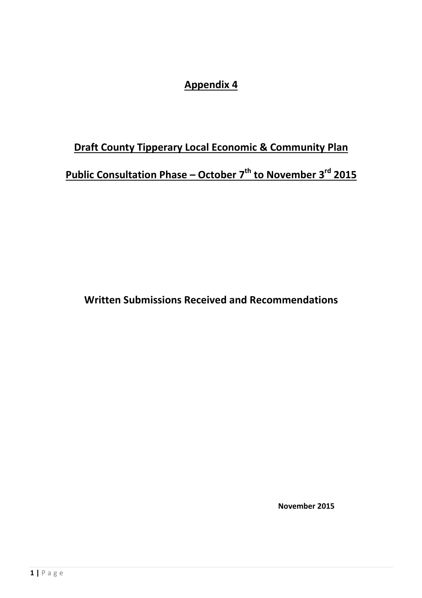## **Appendix 4**

# **Draft County Tipperary Local Economic & Community Plan Public Consultation Phase – October 7th to November 3rd 2015**

**Written Submissions Received and Recommendations** 

 **November 2015**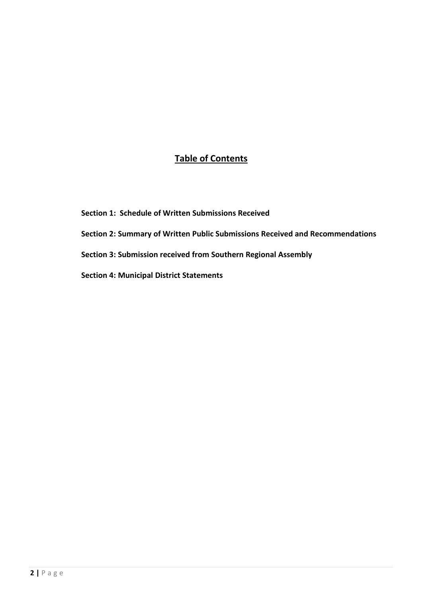## **Table of Contents**

- **Section 1: Schedule of Written Submissions Received**
- **Section 2: Summary of Written Public Submissions Received and Recommendations**
- **Section 3: Submission received from Southern Regional Assembly**
- **Section 4: Municipal District Statements**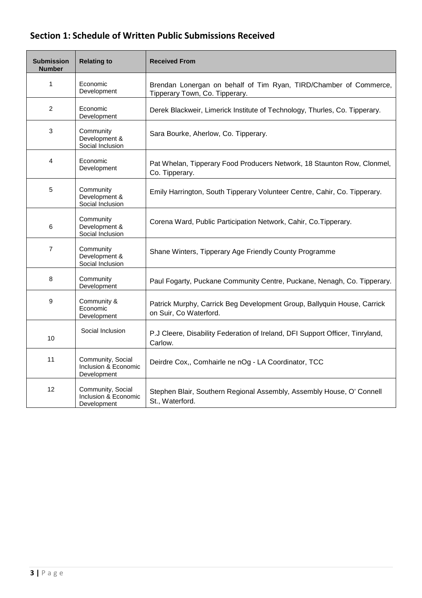## **Section 1: Schedule of Written Public Submissions Received**

| <b>Submission</b><br><b>Number</b> | <b>Relating to</b>                                       | <b>Received From</b>                                                                                |
|------------------------------------|----------------------------------------------------------|-----------------------------------------------------------------------------------------------------|
| 1                                  | Economic<br>Development                                  | Brendan Lonergan on behalf of Tim Ryan, TIRD/Chamber of Commerce,<br>Tipperary Town, Co. Tipperary. |
| 2                                  | Economic<br>Development                                  | Derek Blackweir, Limerick Institute of Technology, Thurles, Co. Tipperary.                          |
| 3                                  | Community<br>Development &<br>Social Inclusion           | Sara Bourke, Aherlow, Co. Tipperary.                                                                |
| 4                                  | Economic<br>Development                                  | Pat Whelan, Tipperary Food Producers Network, 18 Staunton Row, Clonmel,<br>Co. Tipperary.           |
| 5                                  | Community<br>Development &<br>Social Inclusion           | Emily Harrington, South Tipperary Volunteer Centre, Cahir, Co. Tipperary.                           |
| 6                                  | Community<br>Development &<br>Social Inclusion           | Corena Ward, Public Participation Network, Cahir, Co. Tipperary.                                    |
| $\overline{7}$                     | Community<br>Development &<br>Social Inclusion           | Shane Winters, Tipperary Age Friendly County Programme                                              |
| 8                                  | Community<br>Development                                 | Paul Fogarty, Puckane Community Centre, Puckane, Nenagh, Co. Tipperary.                             |
| 9                                  | Community &<br>Economic<br>Development                   | Patrick Murphy, Carrick Beg Development Group, Ballyquin House, Carrick<br>on Suir, Co Waterford.   |
| 10                                 | Social Inclusion                                         | P.J Cleere, Disability Federation of Ireland, DFI Support Officer, Tinryland,<br>Carlow.            |
| 11                                 | Community, Social<br>Inclusion & Economic<br>Development | Deirdre Cox,, Comhairle ne nOg - LA Coordinator, TCC                                                |
| 12                                 | Community, Social<br>Inclusion & Economic<br>Development | Stephen Blair, Southern Regional Assembly, Assembly House, O' Connell<br>St., Waterford.            |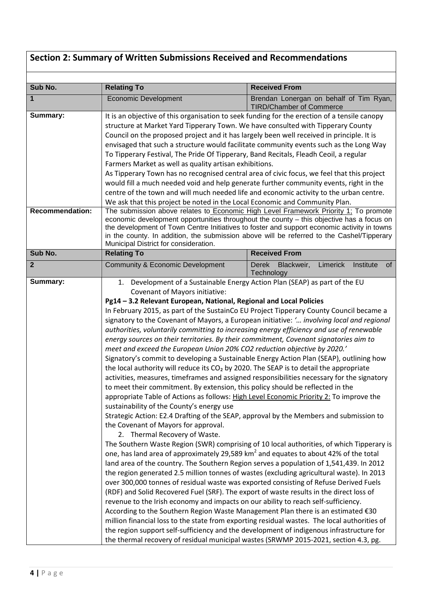# **Section 2: Summary of Written Submissions Received and Recommendations**

| Sub No.                            | <b>Relating To</b>                                                                                                                                                                                                                                                                                                                                                                                                                                                                                                                                                                                                                                                                                                                                                                                                                                                                                                                                                                                                                                                                                                                                                                                                                                                                                                                                                                                                                                                                                                                                                                                                                                                                                                                                                                                                                                                                                                                                                                                                                                                                              | <b>Received From</b>                                                                                                                                                                                                                                                                  |  |
|------------------------------------|-------------------------------------------------------------------------------------------------------------------------------------------------------------------------------------------------------------------------------------------------------------------------------------------------------------------------------------------------------------------------------------------------------------------------------------------------------------------------------------------------------------------------------------------------------------------------------------------------------------------------------------------------------------------------------------------------------------------------------------------------------------------------------------------------------------------------------------------------------------------------------------------------------------------------------------------------------------------------------------------------------------------------------------------------------------------------------------------------------------------------------------------------------------------------------------------------------------------------------------------------------------------------------------------------------------------------------------------------------------------------------------------------------------------------------------------------------------------------------------------------------------------------------------------------------------------------------------------------------------------------------------------------------------------------------------------------------------------------------------------------------------------------------------------------------------------------------------------------------------------------------------------------------------------------------------------------------------------------------------------------------------------------------------------------------------------------------------------------|---------------------------------------------------------------------------------------------------------------------------------------------------------------------------------------------------------------------------------------------------------------------------------------|--|
| 1                                  | <b>Economic Development</b>                                                                                                                                                                                                                                                                                                                                                                                                                                                                                                                                                                                                                                                                                                                                                                                                                                                                                                                                                                                                                                                                                                                                                                                                                                                                                                                                                                                                                                                                                                                                                                                                                                                                                                                                                                                                                                                                                                                                                                                                                                                                     | Brendan Lonergan on behalf of Tim Ryan,<br><b>TIRD/Chamber of Commerce</b>                                                                                                                                                                                                            |  |
| Summary:<br><b>Recommendation:</b> | It is an objective of this organisation to seek funding for the erection of a tensile canopy<br>structure at Market Yard Tipperary Town. We have consulted with Tipperary County<br>Council on the proposed project and it has largely been well received in principle. It is<br>envisaged that such a structure would facilitate community events such as the Long Way<br>To Tipperary Festival, The Pride Of Tipperary, Band Recitals, Fleadh Ceoil, a regular<br>Farmers Market as well as quality artisan exhibitions.<br>As Tipperary Town has no recognised central area of civic focus, we feel that this project<br>would fill a much needed void and help generate further community events, right in the<br>centre of the town and will much needed life and economic activity to the urban centre.<br>We ask that this project be noted in the Local Economic and Community Plan.                                                                                                                                                                                                                                                                                                                                                                                                                                                                                                                                                                                                                                                                                                                                                                                                                                                                                                                                                                                                                                                                                                                                                                                                    |                                                                                                                                                                                                                                                                                       |  |
|                                    | The submission above relates to Economic High Level Framework Priority 1; To promote<br>economic development opportunities throughout the county - this objective has a focus on<br>the development of Town Centre Initiatives to foster and support economic activity in towns<br>in the county. In addition, the submission above will be referred to the Cashel/Tipperary<br>Municipal District for consideration.                                                                                                                                                                                                                                                                                                                                                                                                                                                                                                                                                                                                                                                                                                                                                                                                                                                                                                                                                                                                                                                                                                                                                                                                                                                                                                                                                                                                                                                                                                                                                                                                                                                                           |                                                                                                                                                                                                                                                                                       |  |
| Sub No.                            | <b>Relating To</b>                                                                                                                                                                                                                                                                                                                                                                                                                                                                                                                                                                                                                                                                                                                                                                                                                                                                                                                                                                                                                                                                                                                                                                                                                                                                                                                                                                                                                                                                                                                                                                                                                                                                                                                                                                                                                                                                                                                                                                                                                                                                              | <b>Received From</b>                                                                                                                                                                                                                                                                  |  |
| $\overline{2}$                     | <b>Community &amp; Economic Development</b>                                                                                                                                                                                                                                                                                                                                                                                                                                                                                                                                                                                                                                                                                                                                                                                                                                                                                                                                                                                                                                                                                                                                                                                                                                                                                                                                                                                                                                                                                                                                                                                                                                                                                                                                                                                                                                                                                                                                                                                                                                                     | <b>Derek</b><br>Blackweir,<br>Limerick<br>Institute<br>0f<br>Technology                                                                                                                                                                                                               |  |
| Summary:                           | Development of a Sustainable Energy Action Plan (SEAP) as part of the EU<br>1.<br>Covenant of Mayors initiative:<br>Pg14 - 3.2 Relevant European, National, Regional and Local Policies<br>In February 2015, as part of the SustainCo EU Project Tipperary County Council became a<br>authorities, voluntarily committing to increasing energy efficiency and use of renewable<br>energy sources on their territories. By their commitment, Covenant signatories aim to<br>meet and exceed the European Union 20% CO2 reduction objective by 2020.'<br>Signatory's commit to developing a Sustainable Energy Action Plan (SEAP), outlining how<br>the local authority will reduce its CO <sub>2</sub> by 2020. The SEAP is to detail the appropriate<br>to meet their commitment. By extension, this policy should be reflected in the<br>appropriate Table of Actions as follows: High Level Economic Priority 2: To improve the<br>sustainability of the County's energy use<br>Strategic Action: E2.4 Drafting of the SEAP, approval by the Members and submission to<br>the Covenant of Mayors for approval.<br>2. Thermal Recovery of Waste.<br>one, has land area of approximately 29,589 km <sup>2</sup> and equates to about 42% of the total<br>land area of the country. The Southern Region serves a population of 1,541,439. In 2012<br>the region generated 2.5 million tonnes of wastes (excluding agricultural waste). In 2013<br>over 300,000 tonnes of residual waste was exported consisting of Refuse Derived Fuels<br>(RDF) and Solid Recovered Fuel (SRF). The export of waste results in the direct loss of<br>revenue to the Irish economy and impacts on our ability to reach self-sufficiency.<br>According to the Southern Region Waste Management Plan there is an estimated €30<br>million financial loss to the state from exporting residual wastes. The local authorities of<br>the region support self-sufficiency and the development of indigenous infrastructure for<br>the thermal recovery of residual municipal wastes (SRWMP 2015-2021, section 4.3, pg. | signatory to the Covenant of Mayors, a European initiative: ' involving local and regional<br>activities, measures, timeframes and assigned responsibilities necessary for the signatory<br>The Southern Waste Region (SWR) comprising of 10 local authorities, of which Tipperary is |  |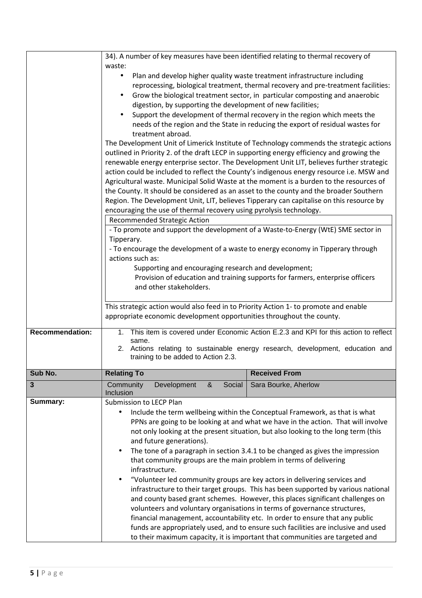|                        | 34). A number of key measures have been identified relating to thermal recovery of                                                                                                                                                                                                                                                                                                                                                                                                                                                                                                                                                                                                                                                                                                                                                                                                                                                                                                                                                                                                                                                                                                                                                                                                                                                                                                         |  |
|------------------------|--------------------------------------------------------------------------------------------------------------------------------------------------------------------------------------------------------------------------------------------------------------------------------------------------------------------------------------------------------------------------------------------------------------------------------------------------------------------------------------------------------------------------------------------------------------------------------------------------------------------------------------------------------------------------------------------------------------------------------------------------------------------------------------------------------------------------------------------------------------------------------------------------------------------------------------------------------------------------------------------------------------------------------------------------------------------------------------------------------------------------------------------------------------------------------------------------------------------------------------------------------------------------------------------------------------------------------------------------------------------------------------------|--|
|                        | waste:                                                                                                                                                                                                                                                                                                                                                                                                                                                                                                                                                                                                                                                                                                                                                                                                                                                                                                                                                                                                                                                                                                                                                                                                                                                                                                                                                                                     |  |
|                        | Plan and develop higher quality waste treatment infrastructure including<br>$\bullet$<br>reprocessing, biological treatment, thermal recovery and pre-treatment facilities:<br>Grow the biological treatment sector, in particular composting and anaerobic<br>digestion, by supporting the development of new facilities;<br>Support the development of thermal recovery in the region which meets the<br>needs of the region and the State in reducing the export of residual wastes for<br>treatment abroad.<br>The Development Unit of Limerick Institute of Technology commends the strategic actions<br>outlined in Priority 2. of the draft LECP in supporting energy efficiency and growing the<br>renewable energy enterprise sector. The Development Unit LIT, believes further strategic<br>action could be included to reflect the County's indigenous energy resource i.e. MSW and<br>Agricultural waste. Municipal Solid Waste at the moment is a burden to the resources of<br>the County. It should be considered as an asset to the county and the broader Southern<br>Region. The Development Unit, LIT, believes Tipperary can capitalise on this resource by<br>encouraging the use of thermal recovery using pyrolysis technology.<br>Recommended Strategic Action<br>- To promote and support the development of a Waste-to-Energy (WtE) SME sector in<br>Tipperary. |  |
|                        | - To encourage the development of a waste to energy economy in Tipperary through                                                                                                                                                                                                                                                                                                                                                                                                                                                                                                                                                                                                                                                                                                                                                                                                                                                                                                                                                                                                                                                                                                                                                                                                                                                                                                           |  |
|                        | actions such as:                                                                                                                                                                                                                                                                                                                                                                                                                                                                                                                                                                                                                                                                                                                                                                                                                                                                                                                                                                                                                                                                                                                                                                                                                                                                                                                                                                           |  |
|                        | Supporting and encouraging research and development;<br>Provision of education and training supports for farmers, enterprise officers                                                                                                                                                                                                                                                                                                                                                                                                                                                                                                                                                                                                                                                                                                                                                                                                                                                                                                                                                                                                                                                                                                                                                                                                                                                      |  |
|                        | and other stakeholders.                                                                                                                                                                                                                                                                                                                                                                                                                                                                                                                                                                                                                                                                                                                                                                                                                                                                                                                                                                                                                                                                                                                                                                                                                                                                                                                                                                    |  |
|                        |                                                                                                                                                                                                                                                                                                                                                                                                                                                                                                                                                                                                                                                                                                                                                                                                                                                                                                                                                                                                                                                                                                                                                                                                                                                                                                                                                                                            |  |
|                        | This strategic action would also feed in to Priority Action 1- to promote and enable                                                                                                                                                                                                                                                                                                                                                                                                                                                                                                                                                                                                                                                                                                                                                                                                                                                                                                                                                                                                                                                                                                                                                                                                                                                                                                       |  |
|                        | appropriate economic development opportunities throughout the county.                                                                                                                                                                                                                                                                                                                                                                                                                                                                                                                                                                                                                                                                                                                                                                                                                                                                                                                                                                                                                                                                                                                                                                                                                                                                                                                      |  |
| <b>Recommendation:</b> | 1. This item is covered under Economic Action E.2.3 and KPI for this action to reflect<br>same.                                                                                                                                                                                                                                                                                                                                                                                                                                                                                                                                                                                                                                                                                                                                                                                                                                                                                                                                                                                                                                                                                                                                                                                                                                                                                            |  |
|                        | 2. Actions relating to sustainable energy research, development, education and                                                                                                                                                                                                                                                                                                                                                                                                                                                                                                                                                                                                                                                                                                                                                                                                                                                                                                                                                                                                                                                                                                                                                                                                                                                                                                             |  |
|                        | training to be added to Action 2.3.                                                                                                                                                                                                                                                                                                                                                                                                                                                                                                                                                                                                                                                                                                                                                                                                                                                                                                                                                                                                                                                                                                                                                                                                                                                                                                                                                        |  |
| Sub No.                | <b>Relating To</b><br><b>Received From</b>                                                                                                                                                                                                                                                                                                                                                                                                                                                                                                                                                                                                                                                                                                                                                                                                                                                                                                                                                                                                                                                                                                                                                                                                                                                                                                                                                 |  |
| $\mathbf{3}$           | Community<br>Development<br>Social<br>Sara Bourke, Aherlow<br>&<br>Inclusion                                                                                                                                                                                                                                                                                                                                                                                                                                                                                                                                                                                                                                                                                                                                                                                                                                                                                                                                                                                                                                                                                                                                                                                                                                                                                                               |  |
| Summary:               | Submission to LECP Plan                                                                                                                                                                                                                                                                                                                                                                                                                                                                                                                                                                                                                                                                                                                                                                                                                                                                                                                                                                                                                                                                                                                                                                                                                                                                                                                                                                    |  |
|                        | Include the term wellbeing within the Conceptual Framework, as that is what<br>$\bullet$<br>PPNs are going to be looking at and what we have in the action. That will involve<br>not only looking at the present situation, but also looking to the long term (this<br>and future generations).<br>The tone of a paragraph in section 3.4.1 to be changed as gives the impression<br>$\bullet$<br>that community groups are the main problem in terms of delivering                                                                                                                                                                                                                                                                                                                                                                                                                                                                                                                                                                                                                                                                                                                                                                                                                                                                                                                        |  |
|                        | infrastructure.<br>"Volunteer led community groups are key actors in delivering services and<br>infrastructure to their target groups. This has been supported by various national<br>and county based grant schemes. However, this places significant challenges on<br>volunteers and voluntary organisations in terms of governance structures,<br>financial management, accountability etc. In order to ensure that any public<br>funds are appropriately used, and to ensure such facilities are inclusive and used<br>to their maximum capacity, it is important that communities are targeted and                                                                                                                                                                                                                                                                                                                                                                                                                                                                                                                                                                                                                                                                                                                                                                                    |  |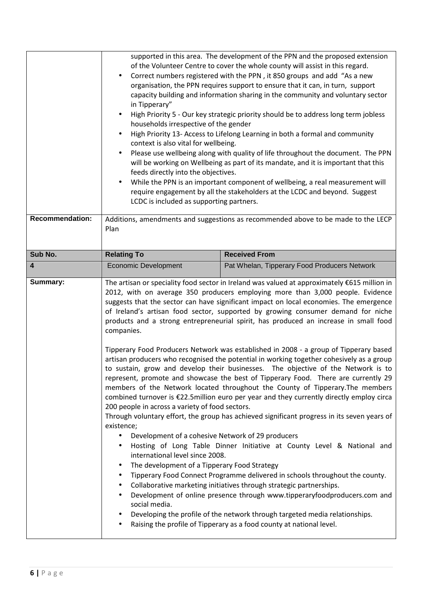| <b>Recommendation:</b>  | supported in this area. The development of the PPN and the proposed extension<br>of the Volunteer Centre to cover the whole county will assist in this regard.<br>Correct numbers registered with the PPN, it 850 groups and add "As a new<br>organisation, the PPN requires support to ensure that it can, in turn, support<br>capacity building and information sharing in the community and voluntary sector<br>in Tipperary"<br>High Priority 5 - Our key strategic priority should be to address long term jobless<br>households irrespective of the gender<br>High Priority 13- Access to Lifelong Learning in both a formal and community<br>context is also vital for wellbeing.<br>Please use wellbeing along with quality of life throughout the document. The PPN<br>will be working on Wellbeing as part of its mandate, and it is important that this<br>feeds directly into the objectives.<br>While the PPN is an important component of wellbeing, a real measurement will<br>require engagement by all the stakeholders at the LCDC and beyond. Suggest<br>LCDC is included as supporting partners.                                                                                                                                                                                                                                                                                                                                                                                                                                                                                                                                                                                                                                                                                                  |                                              |
|-------------------------|-----------------------------------------------------------------------------------------------------------------------------------------------------------------------------------------------------------------------------------------------------------------------------------------------------------------------------------------------------------------------------------------------------------------------------------------------------------------------------------------------------------------------------------------------------------------------------------------------------------------------------------------------------------------------------------------------------------------------------------------------------------------------------------------------------------------------------------------------------------------------------------------------------------------------------------------------------------------------------------------------------------------------------------------------------------------------------------------------------------------------------------------------------------------------------------------------------------------------------------------------------------------------------------------------------------------------------------------------------------------------------------------------------------------------------------------------------------------------------------------------------------------------------------------------------------------------------------------------------------------------------------------------------------------------------------------------------------------------------------------------------------------------------------------------------------------------|----------------------------------------------|
|                         | Additions, amendments and suggestions as recommended above to be made to the LECP<br>Plan                                                                                                                                                                                                                                                                                                                                                                                                                                                                                                                                                                                                                                                                                                                                                                                                                                                                                                                                                                                                                                                                                                                                                                                                                                                                                                                                                                                                                                                                                                                                                                                                                                                                                                                             |                                              |
| Sub No.                 | <b>Relating To</b>                                                                                                                                                                                                                                                                                                                                                                                                                                                                                                                                                                                                                                                                                                                                                                                                                                                                                                                                                                                                                                                                                                                                                                                                                                                                                                                                                                                                                                                                                                                                                                                                                                                                                                                                                                                                    | <b>Received From</b>                         |
| $\overline{\mathbf{4}}$ | <b>Economic Development</b>                                                                                                                                                                                                                                                                                                                                                                                                                                                                                                                                                                                                                                                                                                                                                                                                                                                                                                                                                                                                                                                                                                                                                                                                                                                                                                                                                                                                                                                                                                                                                                                                                                                                                                                                                                                           | Pat Whelan, Tipperary Food Producers Network |
| Summary:                | The artisan or speciality food sector in Ireland was valued at approximately $£615$ million in<br>2012, with on average 350 producers employing more than 3,000 people. Evidence<br>suggests that the sector can have significant impact on local economies. The emergence<br>of Ireland's artisan food sector, supported by growing consumer demand for niche<br>products and a strong entrepreneurial spirit, has produced an increase in small food<br>companies.<br>Tipperary Food Producers Network was established in 2008 - a group of Tipperary based<br>artisan producers who recognised the potential in working together cohesively as a group<br>to sustain, grow and develop their businesses. The objective of the Network is to<br>represent, promote and showcase the best of Tipperary Food. There are currently 29<br>members of the Network located throughout the County of Tipperary. The members<br>combined turnover is €22.5million euro per year and they currently directly employ circa<br>200 people in across a variety of food sectors.<br>Through voluntary effort, the group has achieved significant progress in its seven years of<br>existence;<br>Development of a cohesive Network of 29 producers<br>Hosting of Long Table Dinner Initiative at County Level & National and<br>٠<br>international level since 2008.<br>The development of a Tipperary Food Strategy<br>Tipperary Food Connect Programme delivered in schools throughout the county.<br>Collaborative marketing initiatives through strategic partnerships.<br>Development of online presence through www.tipperaryfoodproducers.com and<br>social media.<br>Developing the profile of the network through targeted media relationships.<br>Raising the profile of Tipperary as a food county at national level. |                                              |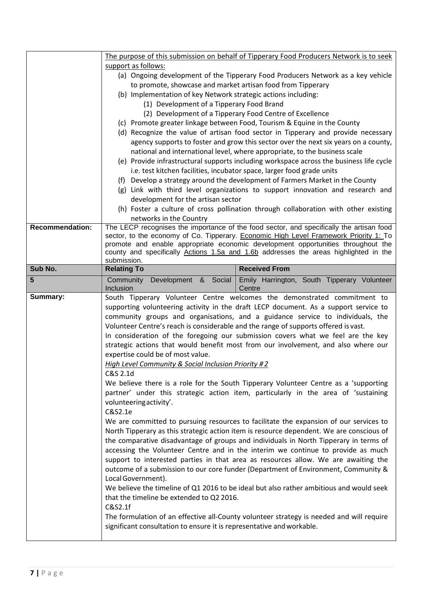|                        | The purpose of this submission on behalf of Tipperary Food Producers Network is to seek                                                                                   |  |  |
|------------------------|---------------------------------------------------------------------------------------------------------------------------------------------------------------------------|--|--|
|                        | support as follows:                                                                                                                                                       |  |  |
|                        | (a) Ongoing development of the Tipperary Food Producers Network as a key vehicle                                                                                          |  |  |
|                        | to promote, showcase and market artisan food from Tipperary                                                                                                               |  |  |
|                        | (b) Implementation of key Network strategic actions including:                                                                                                            |  |  |
|                        | (1) Development of a Tipperary Food Brand                                                                                                                                 |  |  |
|                        | (2) Development of a Tipperary Food Centre of Excellence                                                                                                                  |  |  |
|                        | (c) Promote greater linkage between Food, Tourism & Equine in the County                                                                                                  |  |  |
|                        | (d) Recognize the value of artisan food sector in Tipperary and provide necessary                                                                                         |  |  |
|                        | agency supports to foster and grow this sector over the next six years on a county,                                                                                       |  |  |
|                        | national and international level, where appropriate, to the business scale                                                                                                |  |  |
|                        | (e) Provide infrastructural supports including workspace across the business life cycle                                                                                   |  |  |
|                        | i.e. test kitchen facilities, incubator space, larger food grade units                                                                                                    |  |  |
|                        | (f) Develop a strategy around the development of Farmers Market in the County                                                                                             |  |  |
|                        | (g) Link with third level organizations to support innovation and research and                                                                                            |  |  |
|                        | development for the artisan sector                                                                                                                                        |  |  |
|                        | (h) Foster a culture of cross pollination through collaboration with other existing                                                                                       |  |  |
|                        | networks in the Country                                                                                                                                                   |  |  |
| <b>Recommendation:</b> | The LECP recognises the importance of the food sector, and specifically the artisan food                                                                                  |  |  |
|                        | sector, to the economy of Co. Tipperary. Economic High Level Framework Priority 1: To<br>promote and enable appropriate economic development opportunities throughout the |  |  |
|                        | county and specifically Actions 1.5a and 1.6b addresses the areas highlighted in the                                                                                      |  |  |
|                        | submission.                                                                                                                                                               |  |  |
| Sub No.                | <b>Received From</b><br><b>Relating To</b>                                                                                                                                |  |  |
| 5                      | Community Development & Social<br>Emily Harrington, South Tipperary Volunteer                                                                                             |  |  |
|                        | Inclusion<br>Centre                                                                                                                                                       |  |  |
| Summary:               | South Tipperary Volunteer Centre welcomes the demonstrated commitment to                                                                                                  |  |  |
|                        | supporting volunteering activity in the draft LECP document. As a support service to                                                                                      |  |  |
|                        | community groups and organisations, and a guidance service to individuals, the                                                                                            |  |  |
|                        | Volunteer Centre's reach is considerable and the range of supports offered is vast.                                                                                       |  |  |
|                        | In consideration of the foregoing our submission covers what we feel are the key<br>strategic actions that would benefit most from our involvement, and also where our    |  |  |
|                        |                                                                                                                                                                           |  |  |
|                        |                                                                                                                                                                           |  |  |
|                        | expertise could be of most value.                                                                                                                                         |  |  |
|                        | High Level Community & Social Inclusion Priority #2                                                                                                                       |  |  |
|                        | C&S 2.1d                                                                                                                                                                  |  |  |
|                        | We believe there is a role for the South Tipperary Volunteer Centre as a 'supporting                                                                                      |  |  |
|                        | partner' under this strategic action item, particularly in the area of 'sustaining                                                                                        |  |  |
|                        | volunteering activity'.                                                                                                                                                   |  |  |
|                        | C&S2.1e                                                                                                                                                                   |  |  |
|                        | We are committed to pursuing resources to facilitate the expansion of our services to                                                                                     |  |  |
|                        | North Tipperary as this strategic action item is resource dependent. We are conscious of                                                                                  |  |  |
|                        | the comparative disadvantage of groups and individuals in North Tipperary in terms of                                                                                     |  |  |
|                        | accessing the Volunteer Centre and in the interim we continue to provide as much                                                                                          |  |  |
|                        | support to interested parties in that area as resources allow. We are awaiting the<br>outcome of a submission to our core funder (Department of Environment, Community &  |  |  |
|                        | Local Government).                                                                                                                                                        |  |  |
|                        | We believe the timeline of Q1 2016 to be ideal but also rather ambitious and would seek                                                                                   |  |  |
|                        | that the timeline be extended to Q2 2016.                                                                                                                                 |  |  |
|                        | C&S2.1f                                                                                                                                                                   |  |  |
|                        | The formulation of an effective all-County volunteer strategy is needed and will require                                                                                  |  |  |
|                        | significant consultation to ensure it is representative and workable.                                                                                                     |  |  |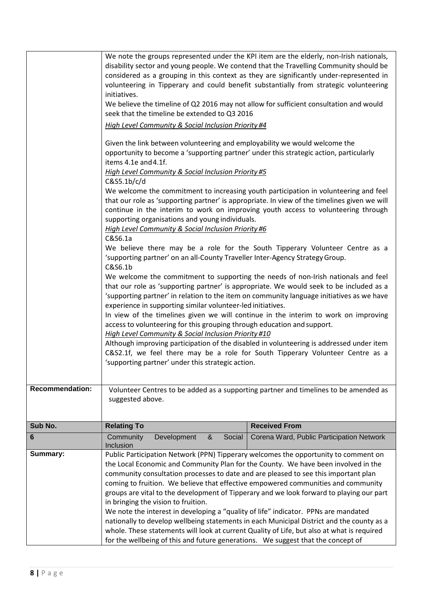|                        | We note the interest in developing a "quality of life" indicator. PPNs are mandated<br>nationally to develop wellbeing statements in each Municipal District and the county as a<br>whole. These statements will look at current Quality of Life, but also at what is required<br>for the wellbeing of this and future generations. We suggest that the concept of                                                                                                                                                                                                                                                                                                                                                                                                                                                                                                                                                                                                                                                                                                                                                                                                                                                                                                                                                                                                                                                                                                                                                                                                                                                                                                                                              |                                                                                      |
|------------------------|-----------------------------------------------------------------------------------------------------------------------------------------------------------------------------------------------------------------------------------------------------------------------------------------------------------------------------------------------------------------------------------------------------------------------------------------------------------------------------------------------------------------------------------------------------------------------------------------------------------------------------------------------------------------------------------------------------------------------------------------------------------------------------------------------------------------------------------------------------------------------------------------------------------------------------------------------------------------------------------------------------------------------------------------------------------------------------------------------------------------------------------------------------------------------------------------------------------------------------------------------------------------------------------------------------------------------------------------------------------------------------------------------------------------------------------------------------------------------------------------------------------------------------------------------------------------------------------------------------------------------------------------------------------------------------------------------------------------|--------------------------------------------------------------------------------------|
|                        | coming to fruition. We believe that effective empowered communities and community<br>groups are vital to the development of Tipperary and we look forward to playing our part<br>in bringing the vision to fruition.                                                                                                                                                                                                                                                                                                                                                                                                                                                                                                                                                                                                                                                                                                                                                                                                                                                                                                                                                                                                                                                                                                                                                                                                                                                                                                                                                                                                                                                                                            |                                                                                      |
|                        | the Local Economic and Community Plan for the County. We have been involved in the<br>community consultation processes to date and are pleased to see this important plan                                                                                                                                                                                                                                                                                                                                                                                                                                                                                                                                                                                                                                                                                                                                                                                                                                                                                                                                                                                                                                                                                                                                                                                                                                                                                                                                                                                                                                                                                                                                       |                                                                                      |
| Summary:               | Public Participation Network (PPN) Tipperary welcomes the opportunity to comment on                                                                                                                                                                                                                                                                                                                                                                                                                                                                                                                                                                                                                                                                                                                                                                                                                                                                                                                                                                                                                                                                                                                                                                                                                                                                                                                                                                                                                                                                                                                                                                                                                             |                                                                                      |
| 6                      | Community<br>Development<br>Social<br>&<br>Inclusion                                                                                                                                                                                                                                                                                                                                                                                                                                                                                                                                                                                                                                                                                                                                                                                                                                                                                                                                                                                                                                                                                                                                                                                                                                                                                                                                                                                                                                                                                                                                                                                                                                                            | Corena Ward, Public Participation Network                                            |
| Sub No.                | <b>Relating To</b>                                                                                                                                                                                                                                                                                                                                                                                                                                                                                                                                                                                                                                                                                                                                                                                                                                                                                                                                                                                                                                                                                                                                                                                                                                                                                                                                                                                                                                                                                                                                                                                                                                                                                              | <b>Received From</b>                                                                 |
| <b>Recommendation:</b> | suggested above.                                                                                                                                                                                                                                                                                                                                                                                                                                                                                                                                                                                                                                                                                                                                                                                                                                                                                                                                                                                                                                                                                                                                                                                                                                                                                                                                                                                                                                                                                                                                                                                                                                                                                                | Volunteer Centres to be added as a supporting partner and timelines to be amended as |
|                        | High Level Community & Social Inclusion Priority #4<br>Given the link between volunteering and employability we would welcome the<br>opportunity to become a 'supporting partner' under this strategic action, particularly<br>items 4.1e and 4.1f.<br>High Level Community & Social Inclusion Priority #5<br>C&S5.1b/c/d<br>We welcome the commitment to increasing youth participation in volunteering and feel<br>that our role as 'supporting partner' is appropriate. In view of the timelines given we will<br>continue in the interim to work on improving youth access to volunteering through<br>supporting organisations and young individuals.<br>High Level Community & Social Inclusion Priority #6<br>C&S6.1a<br>We believe there may be a role for the South Tipperary Volunteer Centre as a<br>'supporting partner' on an all-County Traveller Inter-Agency Strategy Group.<br>C&S6.1b<br>We welcome the commitment to supporting the needs of non-Irish nationals and feel<br>that our role as 'supporting partner' is appropriate. We would seek to be included as a<br>'supporting partner' in relation to the item on community language initiatives as we have<br>experience in supporting similar volunteer-led initiatives.<br>In view of the timelines given we will continue in the interim to work on improving<br>access to volunteering for this grouping through education and support.<br>High Level Community & Social Inclusion Priority #10<br>Although improving participation of the disabled in volunteering is addressed under item<br>C&S2.1f, we feel there may be a role for South Tipperary Volunteer Centre as a<br>'supporting partner' under this strategic action. |                                                                                      |
|                        | We note the groups represented under the KPI item are the elderly, non-Irish nationals,<br>disability sector and young people. We contend that the Travelling Community should be<br>considered as a grouping in this context as they are significantly under-represented in<br>volunteering in Tipperary and could benefit substantially from strategic volunteering<br>initiatives.<br>We believe the timeline of Q2 2016 may not allow for sufficient consultation and would<br>seek that the timeline be extended to Q3 2016                                                                                                                                                                                                                                                                                                                                                                                                                                                                                                                                                                                                                                                                                                                                                                                                                                                                                                                                                                                                                                                                                                                                                                                |                                                                                      |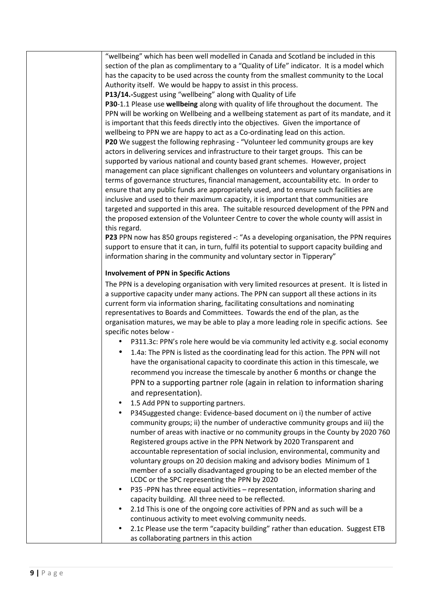"wellbeing" which has been well modelled in Canada and Scotland be included in this section of the plan as complimentary to a "Quality of Life" indicator. It is a model which has the capacity to be used across the county from the smallest community to the Local Authority itself. We would be happy to assist in this process.

**P13/14.-**Suggest using "wellbeing" along with Quality of Life

**P30**-1.1 Please use **wellbeing** along with quality of life throughout the document. The PPN will be working on Wellbeing and a wellbeing statement as part of its mandate, and it is important that this feeds directly into the objectives. Given the importance of wellbeing to PPN we are happy to act as a Co-ordinating lead on this action. **P20** We suggest the following rephrasing - "Volunteer led community groups are key actors in delivering services and infrastructure to their target groups. This can be supported by various national and county based grant schemes. However, project management can place significant challenges on volunteers and voluntary organisations in terms of governance structures, financial management, accountability etc. In order to ensure that any public funds are appropriately used, and to ensure such facilities are inclusive and used to their maximum capacity, it is important that communities are targeted and supported in this area. The suitable resourced development of the PPN and the proposed extension of the Volunteer Centre to cover the whole county will assist in this regard.

**P23** PPN now has 850 groups registered **-**: "As a developing organisation, the PPN requires support to ensure that it can, in turn, fulfil its potential to support capacity building and information sharing in the community and voluntary sector in Tipperary"

#### **Involvement of PPN in Specific Actions**

The PPN is a developing organisation with very limited resources at present. It is listed in a supportive capacity under many actions. The PPN can support all these actions in its current form via information sharing, facilitating consultations and nominating representatives to Boards and Committees. Towards the end of the plan, as the organisation matures, we may be able to play a more leading role in specific actions. See specific notes below -

- P311.3c: PPN's role here would be via community led activity e.g. social economy
- 1.4a: The PPN is listed as the coordinating lead for this action. The PPN will not have the organisational capacity to coordinate this action in this timescale, we recommend you increase the timescale by another 6 months or change the PPN to a supporting partner role (again in relation to information sharing and representation).
- 1.5 Add PPN to supporting partners.
- P34Suggested change: Evidence-based document on i) the number of active community groups; ii) the number of underactive community groups and iii) the number of areas with inactive or no community groups in the County by 2020 760 Registered groups active in the PPN Network by 2020 Transparent and accountable representation of social inclusion, environmental, community and voluntary groups on 20 decision making and advisory bodies Minimum of 1 member of a socially disadvantaged grouping to be an elected member of the LCDC or the SPC representing the PPN by 2020
- P35 -PPN has three equal activities representation, information sharing and capacity building. All three need to be reflected.
- 2.1d This is one of the ongoing core activities of PPN and as such will be a continuous activity to meet evolving community needs.
- 2.1c Please use the term "capacity building" rather than education. Suggest ETB as collaborating partners in this action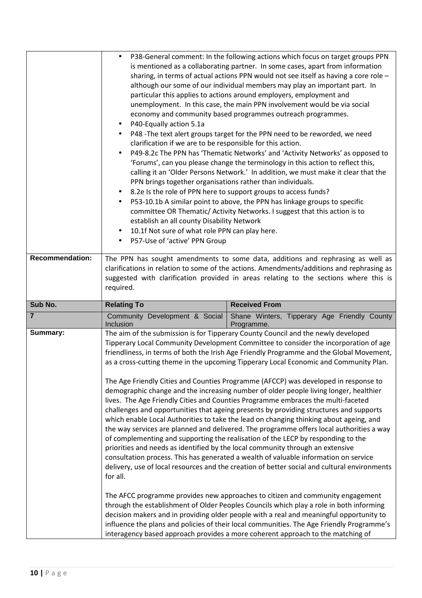| <b>Recommendation:</b> | $\bullet$<br>P40-Equally action 5.1a<br>clarification if we are to be responsible for this action.<br>PPN brings together organisations rather than individuals.<br>establish an all county Disability Network<br>10.1f Not sure of what role PPN can play here.<br>P57-Use of 'active' PPN Group<br>$\bullet$ | P38-General comment: In the following actions which focus on target groups PPN<br>is mentioned as a collaborating partner. In some cases, apart from information<br>sharing, in terms of actual actions PPN would not see itself as having a core role -<br>although our some of our individual members may play an important part. In<br>particular this applies to actions around employers, employment and<br>unemployment. In this case, the main PPN involvement would be via social<br>economy and community based programmes outreach programmes.<br>P48 - The text alert groups target for the PPN need to be reworded, we need<br>P49-8.2c The PPN has 'Thematic Networks' and 'Activity Networks' as opposed to<br>'Forums', can you please change the terminology in this action to reflect this,<br>calling it an 'Older Persons Network.' In addition, we must make it clear that the<br>8.2e Is the role of PPN here to support groups to access funds?<br>P53-10.1b A similar point to above, the PPN has linkage groups to specific<br>committee OR Thematic/ Activity Networks. I suggest that this action is to<br>The PPN has sought amendments to some data, additions and rephrasing as well as                                                                                                                                               |
|------------------------|----------------------------------------------------------------------------------------------------------------------------------------------------------------------------------------------------------------------------------------------------------------------------------------------------------------|--------------------------------------------------------------------------------------------------------------------------------------------------------------------------------------------------------------------------------------------------------------------------------------------------------------------------------------------------------------------------------------------------------------------------------------------------------------------------------------------------------------------------------------------------------------------------------------------------------------------------------------------------------------------------------------------------------------------------------------------------------------------------------------------------------------------------------------------------------------------------------------------------------------------------------------------------------------------------------------------------------------------------------------------------------------------------------------------------------------------------------------------------------------------------------------------------------------------------------------------------------------------------------------------------------------------------------------------------------------------|
|                        | required.                                                                                                                                                                                                                                                                                                      | clarifications in relation to some of the actions. Amendments/additions and rephrasing as<br>suggested with clarification provided in areas relating to the sections where this is                                                                                                                                                                                                                                                                                                                                                                                                                                                                                                                                                                                                                                                                                                                                                                                                                                                                                                                                                                                                                                                                                                                                                                                 |
| Sub No.                | <b>Relating To</b>                                                                                                                                                                                                                                                                                             | <b>Received From</b>                                                                                                                                                                                                                                                                                                                                                                                                                                                                                                                                                                                                                                                                                                                                                                                                                                                                                                                                                                                                                                                                                                                                                                                                                                                                                                                                               |
| $\overline{7}$         | Community Development & Social<br>Inclusion                                                                                                                                                                                                                                                                    | Shane Winters, Tipperary Age Friendly County<br>Programme.                                                                                                                                                                                                                                                                                                                                                                                                                                                                                                                                                                                                                                                                                                                                                                                                                                                                                                                                                                                                                                                                                                                                                                                                                                                                                                         |
| Summary:               | for all.<br>through the establishment of Older Peoples Councils which play a role in both informing                                                                                                                                                                                                            | The aim of the submission is for Tipperary County Council and the newly developed<br>Tipperary Local Community Development Committee to consider the incorporation of age<br>friendliness, in terms of both the Irish Age Friendly Programme and the Global Movement,<br>as a cross-cutting theme in the upcoming Tipperary Local Economic and Community Plan.<br>The Age Friendly Cities and Counties Programme (AFCCP) was developed in response to<br>demographic change and the increasing number of older people living longer, healthier<br>lives. The Age Friendly Cities and Counties Programme embraces the multi-faceted<br>challenges and opportunities that ageing presents by providing structures and supports<br>which enable Local Authorities to take the lead on changing thinking about ageing, and<br>the way services are planned and delivered. The programme offers local authorities a way<br>of complementing and supporting the realisation of the LECP by responding to the<br>priorities and needs as identified by the local community through an extensive<br>consultation process. This has generated a wealth of valuable information on service<br>delivery, use of local resources and the creation of better social and cultural environments<br>The AFCC programme provides new approaches to citizen and community engagement |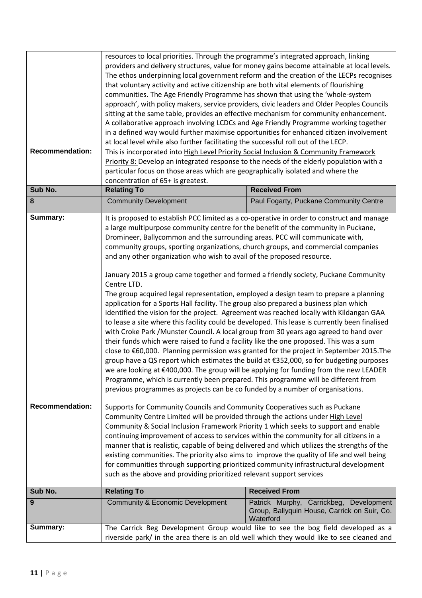|                        | resources to local priorities. Through the programme's integrated approach, linking<br>providers and delivery structures, value for money gains become attainable at local levels.<br>The ethos underpinning local government reform and the creation of the LECPs recognises<br>that voluntary activity and active citizenship are both vital elements of flourishing<br>communities. The Age Friendly Programme has shown that using the 'whole-system<br>approach', with policy makers, service providers, civic leaders and Older Peoples Councils<br>sitting at the same table, provides an effective mechanism for community enhancement.<br>A collaborative approach involving LCDCs and Age Friendly Programme working together<br>in a defined way would further maximise opportunities for enhanced citizen involvement<br>at local level while also further facilitating the successful roll out of the LECP.                                                                                                                                                                                                                                                  |                                                                                                                                                                                                                                                                                                                                                                                     |
|------------------------|---------------------------------------------------------------------------------------------------------------------------------------------------------------------------------------------------------------------------------------------------------------------------------------------------------------------------------------------------------------------------------------------------------------------------------------------------------------------------------------------------------------------------------------------------------------------------------------------------------------------------------------------------------------------------------------------------------------------------------------------------------------------------------------------------------------------------------------------------------------------------------------------------------------------------------------------------------------------------------------------------------------------------------------------------------------------------------------------------------------------------------------------------------------------------|-------------------------------------------------------------------------------------------------------------------------------------------------------------------------------------------------------------------------------------------------------------------------------------------------------------------------------------------------------------------------------------|
| <b>Recommendation:</b> | This is incorporated into High Level Priority Social Inclusion & Community Framework                                                                                                                                                                                                                                                                                                                                                                                                                                                                                                                                                                                                                                                                                                                                                                                                                                                                                                                                                                                                                                                                                      |                                                                                                                                                                                                                                                                                                                                                                                     |
|                        | Priority 8: Develop an integrated response to the needs of the elderly population with a                                                                                                                                                                                                                                                                                                                                                                                                                                                                                                                                                                                                                                                                                                                                                                                                                                                                                                                                                                                                                                                                                  |                                                                                                                                                                                                                                                                                                                                                                                     |
|                        | particular focus on those areas which are geographically isolated and where the                                                                                                                                                                                                                                                                                                                                                                                                                                                                                                                                                                                                                                                                                                                                                                                                                                                                                                                                                                                                                                                                                           |                                                                                                                                                                                                                                                                                                                                                                                     |
| Sub No.                | concentration of 65+ is greatest.<br><b>Relating To</b>                                                                                                                                                                                                                                                                                                                                                                                                                                                                                                                                                                                                                                                                                                                                                                                                                                                                                                                                                                                                                                                                                                                   | <b>Received From</b>                                                                                                                                                                                                                                                                                                                                                                |
|                        |                                                                                                                                                                                                                                                                                                                                                                                                                                                                                                                                                                                                                                                                                                                                                                                                                                                                                                                                                                                                                                                                                                                                                                           |                                                                                                                                                                                                                                                                                                                                                                                     |
| 8                      | <b>Community Development</b>                                                                                                                                                                                                                                                                                                                                                                                                                                                                                                                                                                                                                                                                                                                                                                                                                                                                                                                                                                                                                                                                                                                                              | Paul Fogarty, Puckane Community Centre                                                                                                                                                                                                                                                                                                                                              |
| Summary:               | a large multipurpose community centre for the benefit of the community in Puckane,<br>Dromineer, Ballycommon and the surrounding areas. PCC will communicate with,<br>community groups, sporting organizations, church groups, and commercial companies<br>and any other organization who wish to avail of the proposed resource.<br>January 2015 a group came together and formed a friendly society, Puckane Community<br>Centre LTD.<br>The group acquired legal representation, employed a design team to prepare a planning<br>application for a Sports Hall facility. The group also prepared a business plan which<br>identified the vision for the project. Agreement was reached locally with Kildangan GAA<br>with Croke Park /Munster Council. A local group from 30 years ago agreed to hand over<br>their funds which were raised to fund a facility like the one proposed. This was a sum<br>we are looking at €400,000. The group will be applying for funding from the new LEADER<br>Programme, which is currently been prepared. This programme will be different from<br>previous programmes as projects can be co funded by a number of organisations. | It is proposed to establish PCC limited as a co-operative in order to construct and manage<br>to lease a site where this facility could be developed. This lease is currently been finalised<br>close to €60,000. Planning permission was granted for the project in September 2015. The<br>group have a QS report which estimates the build at €352,000, so for budgeting purposes |
| <b>Recommendation:</b> | Supports for Community Councils and Community Cooperatives such as Puckane<br>Community Centre Limited will be provided through the actions under High Level<br>Community & Social Inclusion Framework Priority 1 which seeks to support and enable<br>continuing improvement of access to services within the community for all citizens in a<br>manner that is realistic, capable of being delivered and which utilizes the strengths of the<br>existing communities. The priority also aims to improve the quality of life and well being<br>for communities through supporting prioritized community infrastructural development<br>such as the above and providing prioritized relevant support services                                                                                                                                                                                                                                                                                                                                                                                                                                                             |                                                                                                                                                                                                                                                                                                                                                                                     |
| Sub No.                | <b>Relating To</b>                                                                                                                                                                                                                                                                                                                                                                                                                                                                                                                                                                                                                                                                                                                                                                                                                                                                                                                                                                                                                                                                                                                                                        | <b>Received From</b>                                                                                                                                                                                                                                                                                                                                                                |
| 9                      | <b>Community &amp; Economic Development</b>                                                                                                                                                                                                                                                                                                                                                                                                                                                                                                                                                                                                                                                                                                                                                                                                                                                                                                                                                                                                                                                                                                                               | Patrick Murphy, Carrickbeg, Development<br>Group, Ballyquin House, Carrick on Suir, Co.<br>Waterford                                                                                                                                                                                                                                                                                |
| Summary:               | The Carrick Beg Development Group would like to see the bog field developed as a<br>riverside park/ in the area there is an old well which they would like to see cleaned and                                                                                                                                                                                                                                                                                                                                                                                                                                                                                                                                                                                                                                                                                                                                                                                                                                                                                                                                                                                             |                                                                                                                                                                                                                                                                                                                                                                                     |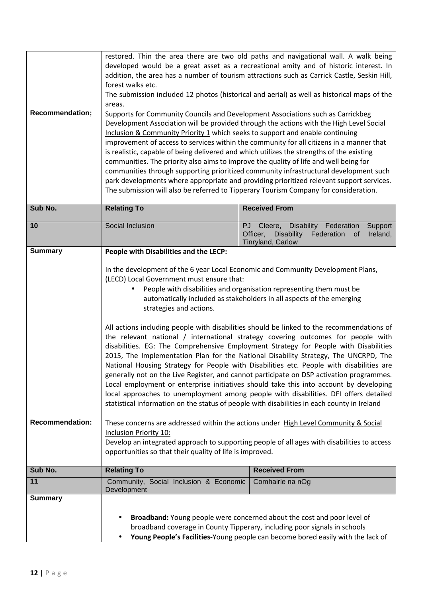| <b>Recommendation;</b>                   | restored. Thin the area there are two old paths and navigational wall. A walk being<br>developed would be a great asset as a recreational amity and of historic interest. In<br>addition, the area has a number of tourism attractions such as Carrick Castle, Seskin Hill,<br>forest walks etc.<br>The submission included 12 photos (historical and aerial) as well as historical maps of the<br>areas.<br>Supports for Community Councils and Development Associations such as Carrickbeg<br>Development Association will be provided through the actions with the High Level Social<br>Inclusion & Community Priority 1 which seeks to support and enable continuing<br>improvement of access to services within the community for all citizens in a manner that<br>is realistic, capable of being delivered and which utilizes the strengths of the existing<br>communities. The priority also aims to improve the quality of life and well being for<br>communities through supporting prioritized community infrastructural development such<br>park developments where appropriate and providing prioritized relevant support services.<br>The submission will also be referred to Tipperary Tourism Company for consideration. |                                                                                                                                                                                                                                         |  |
|------------------------------------------|-----------------------------------------------------------------------------------------------------------------------------------------------------------------------------------------------------------------------------------------------------------------------------------------------------------------------------------------------------------------------------------------------------------------------------------------------------------------------------------------------------------------------------------------------------------------------------------------------------------------------------------------------------------------------------------------------------------------------------------------------------------------------------------------------------------------------------------------------------------------------------------------------------------------------------------------------------------------------------------------------------------------------------------------------------------------------------------------------------------------------------------------------------------------------------------------------------------------------------------------|-----------------------------------------------------------------------------------------------------------------------------------------------------------------------------------------------------------------------------------------|--|
| Sub No.                                  | <b>Relating To</b>                                                                                                                                                                                                                                                                                                                                                                                                                                                                                                                                                                                                                                                                                                                                                                                                                                                                                                                                                                                                                                                                                                                                                                                                                      | <b>Received From</b>                                                                                                                                                                                                                    |  |
| 10                                       | Social Inclusion                                                                                                                                                                                                                                                                                                                                                                                                                                                                                                                                                                                                                                                                                                                                                                                                                                                                                                                                                                                                                                                                                                                                                                                                                        | Disability Federation<br>PJ Cleere,<br>Support<br>Officer,<br><b>Disability</b><br>Federation<br>Ireland,<br>0f<br>Tinryland, Carlow                                                                                                    |  |
| <b>Summary</b><br><b>Recommendation:</b> | People with Disabilities and the LECP:<br>In the development of the 6 year Local Economic and Community Development Plans,<br>(LECD) Local Government must ensure that:<br>People with disabilities and organisation representing them must be<br>automatically included as stakeholders in all aspects of the emerging<br>strategies and actions.<br>All actions including people with disabilities should be linked to the recommendations of<br>the relevant national / international strategy covering outcomes for people with<br>disabilities. EG: The Comprehensive Employment Strategy for People with Disabilities<br>2015, The Implementation Plan for the National Disability Strategy, The UNCRPD, The<br>National Housing Strategy for People with Disabilities etc. People with disabilities are<br>generally not on the Live Register, and cannot participate on DSP activation programmes.<br>Local employment or enterprise initiatives should take this into account by developing<br>local approaches to unemployment among people with disabilities. DFI offers detailed<br>statistical information on the status of people with disabilities in each county in Ireland                                             |                                                                                                                                                                                                                                         |  |
|                                          | These concerns are addressed within the actions under High Level Community & Social<br><b>Inclusion Priority 10:</b><br>Develop an integrated approach to supporting people of all ages with disabilities to access<br>opportunities so that their quality of life is improved.                                                                                                                                                                                                                                                                                                                                                                                                                                                                                                                                                                                                                                                                                                                                                                                                                                                                                                                                                         |                                                                                                                                                                                                                                         |  |
| Sub No.                                  | <b>Relating To</b>                                                                                                                                                                                                                                                                                                                                                                                                                                                                                                                                                                                                                                                                                                                                                                                                                                                                                                                                                                                                                                                                                                                                                                                                                      | <b>Received From</b>                                                                                                                                                                                                                    |  |
| 11                                       | Community, Social Inclusion & Economic<br>Development                                                                                                                                                                                                                                                                                                                                                                                                                                                                                                                                                                                                                                                                                                                                                                                                                                                                                                                                                                                                                                                                                                                                                                                   | Comhairle na nOg                                                                                                                                                                                                                        |  |
| <b>Summary</b>                           |                                                                                                                                                                                                                                                                                                                                                                                                                                                                                                                                                                                                                                                                                                                                                                                                                                                                                                                                                                                                                                                                                                                                                                                                                                         | Broadband: Young people were concerned about the cost and poor level of<br>broadband coverage in County Tipperary, including poor signals in schools<br>Young People's Facilities-Young people can become bored easily with the lack of |  |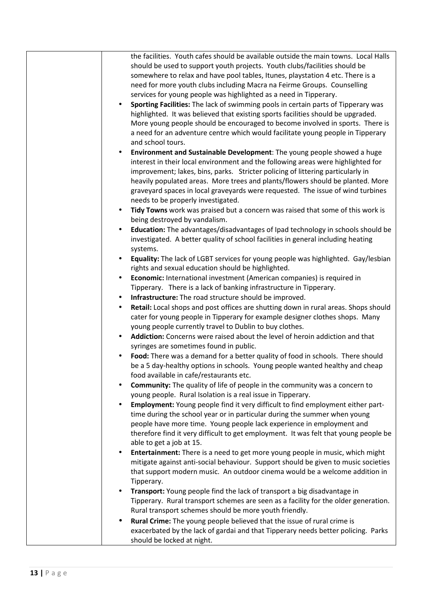| the facilities. Youth cafes should be available outside the main towns. Local Halls                                                                         |
|-------------------------------------------------------------------------------------------------------------------------------------------------------------|
| should be used to support youth projects. Youth clubs/facilities should be                                                                                  |
| somewhere to relax and have pool tables, Itunes, playstation 4 etc. There is a                                                                              |
| need for more youth clubs including Macra na Feirme Groups. Counselling                                                                                     |
| services for young people was highlighted as a need in Tipperary.                                                                                           |
| Sporting Facilities: The lack of swimming pools in certain parts of Tipperary was<br>$\bullet$                                                              |
| highlighted. It was believed that existing sports facilities should be upgraded.                                                                            |
| More young people should be encouraged to become involved in sports. There is                                                                               |
| a need for an adventure centre which would facilitate young people in Tipperary                                                                             |
| and school tours.                                                                                                                                           |
| Environment and Sustainable Development: The young people showed a huge<br>interest in their local environment and the following areas were highlighted for |
| improvement; lakes, bins, parks. Stricter policing of littering particularly in                                                                             |
| heavily populated areas. More trees and plants/flowers should be planted. More                                                                              |
| graveyard spaces in local graveyards were requested. The issue of wind turbines                                                                             |
| needs to be properly investigated.                                                                                                                          |
| Tidy Towns work was praised but a concern was raised that some of this work is                                                                              |
| being destroyed by vandalism.                                                                                                                               |
| Education: The advantages/disadvantages of Ipad technology in schools should be                                                                             |
| investigated. A better quality of school facilities in general including heating                                                                            |
| systems.                                                                                                                                                    |
| Equality: The lack of LGBT services for young people was highlighted. Gay/lesbian                                                                           |
| rights and sexual education should be highlighted.                                                                                                          |
| Economic: International investment (American companies) is required in<br>٠                                                                                 |
| Tipperary. There is a lack of banking infrastructure in Tipperary.                                                                                          |
| Infrastructure: The road structure should be improved.                                                                                                      |
| Retail: Local shops and post offices are shutting down in rural areas. Shops should                                                                         |
| cater for young people in Tipperary for example designer clothes shops. Many                                                                                |
| young people currently travel to Dublin to buy clothes.                                                                                                     |
| Addiction: Concerns were raised about the level of heroin addiction and that                                                                                |
| syringes are sometimes found in public.                                                                                                                     |
| Food: There was a demand for a better quality of food in schools. There should                                                                              |
| be a 5 day-healthy options in schools. Young people wanted healthy and cheap                                                                                |
| food available in cafe/restaurants etc.                                                                                                                     |
| Community: The quality of life of people in the community was a concern to<br>٠<br>young people. Rural Isolation is a real issue in Tipperary.              |
| Employment: Young people find it very difficult to find employment either part-                                                                             |
| time during the school year or in particular during the summer when young                                                                                   |
| people have more time. Young people lack experience in employment and                                                                                       |
| therefore find it very difficult to get employment. It was felt that young people be                                                                        |
| able to get a job at 15.                                                                                                                                    |
| Entertainment: There is a need to get more young people in music, which might<br>٠                                                                          |
| mitigate against anti-social behaviour. Support should be given to music societies                                                                          |
| that support modern music. An outdoor cinema would be a welcome addition in                                                                                 |
| Tipperary.                                                                                                                                                  |
| Transport: Young people find the lack of transport a big disadvantage in                                                                                    |
| Tipperary. Rural transport schemes are seen as a facility for the older generation.                                                                         |
| Rural transport schemes should be more youth friendly.                                                                                                      |
| Rural Crime: The young people believed that the issue of rural crime is                                                                                     |
| exacerbated by the lack of gardai and that Tipperary needs better policing. Parks                                                                           |
| should be locked at night.                                                                                                                                  |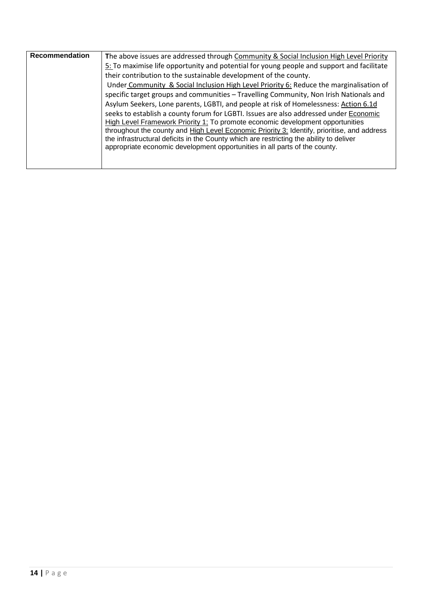| Recommendation | The above issues are addressed through Community & Social Inclusion High Level Priority     |
|----------------|---------------------------------------------------------------------------------------------|
|                | 5: To maximise life opportunity and potential for young people and support and facilitate   |
|                | their contribution to the sustainable development of the county.                            |
|                | Under Community & Social Inclusion High Level Priority 6: Reduce the marginalisation of     |
|                | specific target groups and communities - Travelling Community, Non Irish Nationals and      |
|                | Asylum Seekers, Lone parents, LGBTI, and people at risk of Homelessness: Action 6.1d        |
|                | seeks to establish a county forum for LGBTI. Issues are also addressed under Economic       |
|                | High Level Framework Priority 1; To promote economic development opportunities              |
|                | throughout the county and High Level Economic Priority 3: Identify, prioritise, and address |
|                | the infrastructural deficits in the County which are restricting the ability to deliver     |
|                | appropriate economic development opportunities in all parts of the county.                  |
|                |                                                                                             |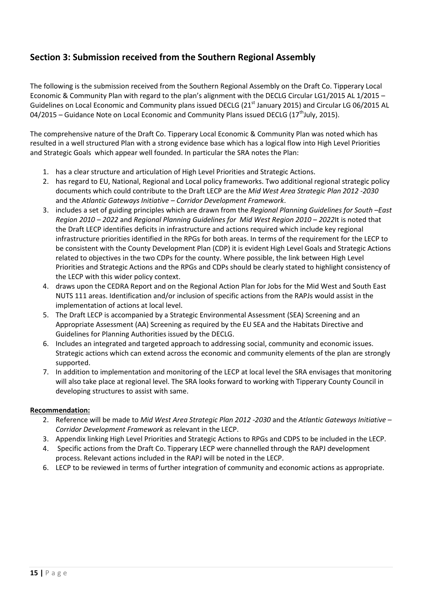## **Section 3: Submission received from the Southern Regional Assembly**

The following is the submission received from the Southern Regional Assembly on the Draft Co. Tipperary Local Economic & Community Plan with regard to the plan's alignment with the DECLG Circular LG1/2015 AL 1/2015 – Guidelines on Local Economic and Community plans issued DECLG (21<sup>st</sup> January 2015) and Circular LG 06/2015 AL 04/2015 – Guidance Note on Local Economic and Community Plans issued DECLG (17<sup>th</sup>July, 2015).

The comprehensive nature of the Draft Co. Tipperary Local Economic & Community Plan was noted which has resulted in a well structured Plan with a strong evidence base which has a logical flow into High Level Priorities and Strategic Goals which appear well founded. In particular the SRA notes the Plan:

- 1. has a clear structure and articulation of High Level Priorities and Strategic Actions.
- 2. has regard to EU, National, Regional and Local policy frameworks. Two additional regional strategic policy documents which could contribute to the Draft LECP are the *Mid West Area Strategic Plan 2012 -2030* and the *Atlantic Gateways Initiative – Corridor Development Framework*.
- 3. includes a set of guiding principles which are drawn from the *Regional Planning Guidelines for South –East Region 2010 – 2022* and *Regional Planning Guidelines for Mid West Region 2010 – 2022*It is noted that the Draft LECP identifies deficits in infrastructure and actions required which include key regional infrastructure priorities identified in the RPGs for both areas. In terms of the requirement for the LECP to be consistent with the County Development Plan (CDP) it is evident High Level Goals and Strategic Actions related to objectives in the two CDPs for the county. Where possible, the link between High Level Priorities and Strategic Actions and the RPGs and CDPs should be clearly stated to highlight consistency of the LECP with this wider policy context.
- 4. draws upon the CEDRA Report and on the Regional Action Plan for Jobs for the Mid West and South East NUTS 111 areas. Identification and/or inclusion of specific actions from the RAPJs would assist in the implementation of actions at local level.
- 5. The Draft LECP is accompanied by a Strategic Environmental Assessment (SEA) Screening and an Appropriate Assessment (AA) Screening as required by the EU SEA and the Habitats Directive and Guidelines for Planning Authorities issued by the DECLG.
- 6. Includes an integrated and targeted approach to addressing social, community and economic issues. Strategic actions which can extend across the economic and community elements of the plan are strongly supported.
- 7. In addition to implementation and monitoring of the LECP at local level the SRA envisages that monitoring will also take place at regional level. The SRA looks forward to working with Tipperary County Council in developing structures to assist with same.

#### **Recommendation:**

- 2. Reference will be made to *Mid West Area Strategic Plan 2012 -2030* and the *Atlantic Gateways Initiative Corridor Development Framework* as relevant in the LECP.
- 3. Appendix linking High Level Priorities and Strategic Actions to RPGs and CDPS to be included in the LECP.
- 4. Specific actions from the Draft Co. Tipperary LECP were channelled through the RAPJ development process. Relevant actions included in the RAPJ will be noted in the LECP.
- 6. LECP to be reviewed in terms of further integration of community and economic actions as appropriate.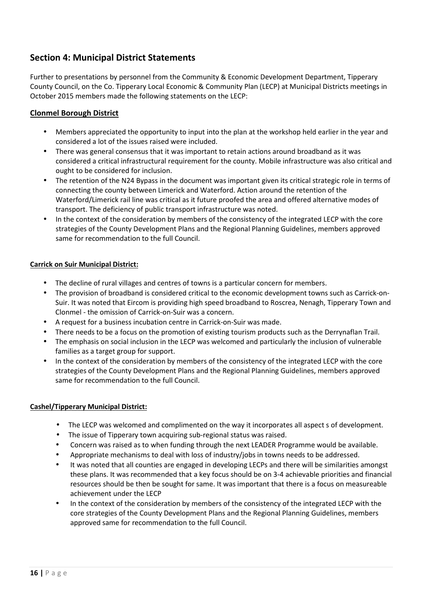### **Section 4: Municipal District Statements**

Further to presentations by personnel from the Community & Economic Development Department, Tipperary County Council, on the Co. Tipperary Local Economic & Community Plan (LECP) at Municipal Districts meetings in October 2015 members made the following statements on the LECP:

#### **Clonmel Borough District**

- Members appreciated the opportunity to input into the plan at the workshop held earlier in the year and considered a lot of the issues raised were included.
- There was general consensus that it was important to retain actions around broadband as it was considered a critical infrastructural requirement for the county. Mobile infrastructure was also critical and ought to be considered for inclusion.
- The retention of the N24 Bypass in the document was important given its critical strategic role in terms of connecting the county between Limerick and Waterford. Action around the retention of the Waterford/Limerick rail line was critical as it future proofed the area and offered alternative modes of transport. The deficiency of public transport infrastructure was noted.
- In the context of the consideration by members of the consistency of the integrated LECP with the core strategies of the County Development Plans and the Regional Planning Guidelines, members approved same for recommendation to the full Council.

#### **Carrick on Suir Municipal District:**

- The decline of rural villages and centres of towns is a particular concern for members.
- The provision of broadband is considered critical to the economic development towns such as Carrick-on-Suir. It was noted that Eircom is providing high speed broadband to Roscrea, Nenagh, Tipperary Town and Clonmel - the omission of Carrick-on-Suir was a concern.
- A request for a business incubation centre in Carrick-on-Suir was made.
- There needs to be a focus on the promotion of existing tourism products such as the Derrynaflan Trail.
- The emphasis on social inclusion in the LECP was welcomed and particularly the inclusion of vulnerable families as a target group for support.
- In the context of the consideration by members of the consistency of the integrated LECP with the core strategies of the County Development Plans and the Regional Planning Guidelines, members approved same for recommendation to the full Council.

#### **Cashel/Tipperary Municipal District:**

- The LECP was welcomed and complimented on the way it incorporates all aspect s of development.
- The issue of Tipperary town acquiring sub-regional status was raised.
- Concern was raised as to when funding through the next LEADER Programme would be available.
- Appropriate mechanisms to deal with loss of industry/jobs in towns needs to be addressed.
- It was noted that all counties are engaged in developing LECPs and there will be similarities amongst these plans. It was recommended that a key focus should be on 3-4 achievable priorities and financial resources should be then be sought for same. It was important that there is a focus on measureable achievement under the LECP
- In the context of the consideration by members of the consistency of the integrated LECP with the core strategies of the County Development Plans and the Regional Planning Guidelines, members approved same for recommendation to the full Council.